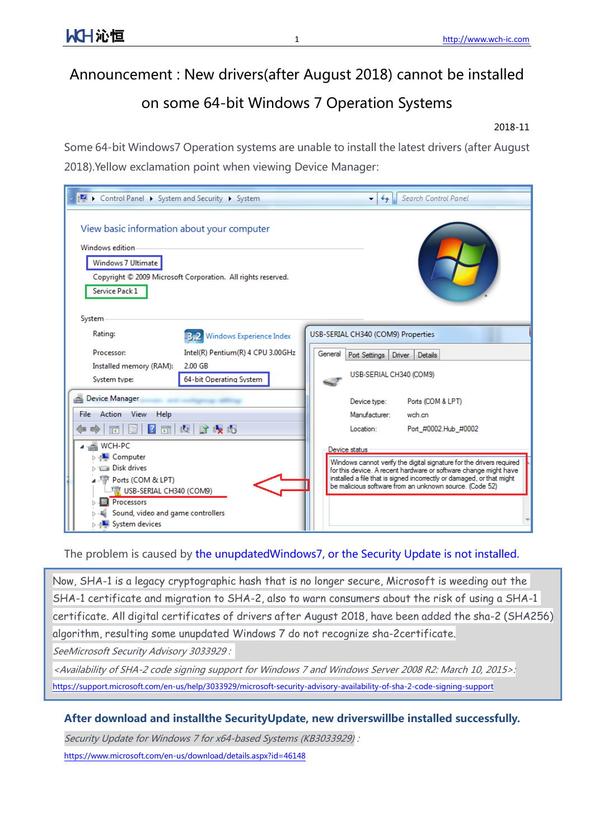## Announcement : New drivers(after August 2018) cannot be installed

## on some 64-bit Windows 7 Operation Systems

## 2018-11

Some 64-bit Windows7 Operation systems are unable to install the latest drivers (after August 2018).Yellow exclamation point when viewing Device Manager:

| DE ▶ Control Panel ▶ System and Security ▶ System                                                                                                                                             | Search Control Panel<br>$+$<br>▾                                                                                                                                                                                                                                                              |  |  |  |
|-----------------------------------------------------------------------------------------------------------------------------------------------------------------------------------------------|-----------------------------------------------------------------------------------------------------------------------------------------------------------------------------------------------------------------------------------------------------------------------------------------------|--|--|--|
| View basic information about your computer<br>Windows edition<br>Windows 7 Ultimate                                                                                                           |                                                                                                                                                                                                                                                                                               |  |  |  |
| Copyright © 2009 Microsoft Corporation. All rights reserved.<br>Service Pack 1                                                                                                                |                                                                                                                                                                                                                                                                                               |  |  |  |
| System<br>Rating:<br><b>3.2</b> Windows Experience Index                                                                                                                                      | USB-SERIAL CH340 (COM9) Properties                                                                                                                                                                                                                                                            |  |  |  |
| Intel(R) Pentium(R) 4 CPU 3.00GHz<br>Processor:                                                                                                                                               | General<br>Port Settings<br>Driver<br>Details                                                                                                                                                                                                                                                 |  |  |  |
| 2.00 GB<br>Installed memory (RAM):<br>64-bit Operating System<br>System type:                                                                                                                 | USB-SERIAL CH340 (COM9)                                                                                                                                                                                                                                                                       |  |  |  |
| Device Manager                                                                                                                                                                                | Ports (COM & LPT)<br>Device type:                                                                                                                                                                                                                                                             |  |  |  |
| File Action View<br>Help<br>$\vert$ 2<br>哈嘎喝<br>嘎<br>嗣<br>屙                                                                                                                                   | Manufacturer:<br>wch.cn<br>Port #0002.Hub #0002<br>Location:                                                                                                                                                                                                                                  |  |  |  |
| ⊿ ______ WCH-PC<br>⊳ <sub>1</sub> ■ Computer<br><b>Disk drives</b><br>⊿ 『 Ports (COM & LPT)<br>W USB-SERIAL CH340 (COM9)<br>Processors<br>Sound, video and game controllers<br>System devices | Device status<br>Windows cannot verify the digital signature for the drivers required<br>for this device. A recent hardware or software change might have<br>installed a file that is signed incorrectly or damaged, or that might<br>be malicious software from an unknown source. (Code 52) |  |  |  |

The problem is caused by the unupdatedWindows7, or the Security Update is not installed.

Now, SHA-1 is a legacy cryptographic hash that is no longer secure, Microsoft is weeding out the SHA-1 certificate and migration to SHA-2, also to warn consumers about the risk of using a SHA-1 certificate. All digital certificates of drivers after August 2018, have been added the sha-2 (SHA256) algorithm, resulting some unupdated Windows 7 do not recognize sha-2certificate. SeeMicrosoft Security Advisory 3033929 :

<Availability of SHA-2 code signing support for Windows 7 and Windows Server 2008 R2: March 10, 2015>: https://support.microsoft.com/en-us/help/3033929/microsoft-security-advisory-availability-of-sha-2-code-signing-support

## After download and installthe SecurityUpdate, new driverswillbe installed successfully.

Security Update for Windows 7 for x64-based Systems (KB3033929) :

https://www.microsoft.com/en-us/download/details.aspx?id=46148